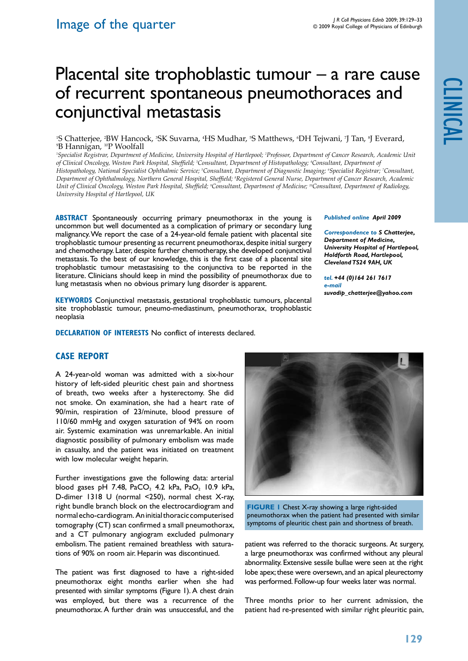*Published online April 2009* 

*Correspondence to S Chatterjee, Department of Medicine, University Hospital of Hartlepool, Holdforth Road, Hartlepool, Cleveland TS24 9AH, UK tel. +44 (0)164 261 7617*

*suvadip\_chatterjee@yahoo.com*

# Placental site trophoblastic tumour – a rare cause of recurrent spontaneous pneumothoraces and conjunctival metastasis

<sup>1</sup>S Chatterjee, <sup>2</sup>BW Hancock, <sup>3</sup>SK Suvarna, <sup>4</sup>HS Mudhar, <sup>5</sup>S Matthews, <sup>6</sup>DH Tejwani, 7J Tan, <sup>8</sup>J Everard,<br><sup>9</sup>B Hannigan, <sup>10</sup>P Woolfall <sup>9</sup>B Hannigan, <sup>10</sup>P Woolfall

*1 Specialist Registrar, Department of Medicine, University Hospital of Hartlepool; 2 Professor, Department of Cancer Research, Academic Unit*  of Clinical Oncology, Weston Park Hospital, Sheffield; <sup>3</sup>Consultant, Department of Histopathology; <sup>4</sup>Consultant, Department of *Histopathology, National Specialist Ophthalmic Service; 5 Consultant, Department of Diagnostic Imaging; 6 Specialist Registrar; 7 Consultant, Department of Ophthalmology, Northern General Hospital, Sheffield; 8 Registered General Nurse, Department of Cancer Research, Academic*  Unit of Clinical Oncology, Weston Park Hospital, Sheffield; <sup>9</sup>Consultant, Department of Medicine; <sup>10</sup>Consultant, Department of Radiology, *University Hospital of Hartlepool, UK*

**ABSTRACT** Spontaneously occurring primary pneumothorax in the young is uncommon but well documented as a complication of primary or secondary lung malignancy. We report the case of a 24-year-old female patient with placental site trophoblastic tumour presenting as recurrent pneumothorax, despite initial surgery and chemotherapy. Later, despite further chemotherapy, she developed conjunctival metastasis. To the best of our knowledge, this is the first case of a placental site trophoblastic tumour metastasising to the conjunctiva to be reported in the literature. Clinicians should keep in mind the possibility of pneumothorax due to lung metastasis when no obvious primary lung disorder is apparent.

**KEYWORDS** Conjunctival metastasis, gestational trophoblastic tumours, placental site trophoblastic tumour, pneumo-mediastinum, pneumothorax, trophoblastic neoplasia

**DECLARATION OF INTERESTS No conflict of interests declared.** 

# **Case Report**

A 24-year-old woman was admitted with a six-hour history of left-sided pleuritic chest pain and shortness of breath, two weeks after a hysterectomy. She did not smoke. On examination, she had a heart rate of 90/min, respiration of 23/minute, blood pressure of 110/60 mmHg and oxygen saturation of 94% on room air. Systemic examination was unremarkable. An initial diagnostic possibility of pulmonary embolism was made in casualty, and the patient was initiated on treatment with low molecular weight heparin.

Further investigations gave the following data: arterial blood gases pH 7.48,  $PaCO<sub>2</sub>$  4.2 kPa,  $PaO<sub>2</sub>$  10.9 kPa, D-dimer 1318 U (normal <250), normal chest X-ray, right bundle branch block on the electrocardiogram and normal echo-cardiogram. An initial thoracic computerised tomography (CT) scan confirmed a small pneumothorax, and a CT pulmonary angiogram excluded pulmonary embolism. The patient remained breathless with saturations of 90% on room air. Heparin was discontinued.

The patient was first diagnosed to have a right-sided pneumothorax eight months earlier when she had presented with similar symptoms (Figure 1). A chest drain was employed, but there was a recurrence of the pneumothorax. A further drain was unsuccessful, and the

*e-mail* 

**FIGURE 1** Chest X-ray showing a large right-sided pneumothorax when the patient had presented with similar symptoms of pleuritic chest pain and shortness of breath.

patient was referred to the thoracic surgeons. At surgery, a large pneumothorax was confirmed without any pleural abnormality. Extensive sessile bullae were seen at the right lobe apex; these were oversewn, and an apical pleurectomy was performed. Follow-up four weeks later was normal.

Three months prior to her current admission, the patient had re-presented with similar right pleuritic pain,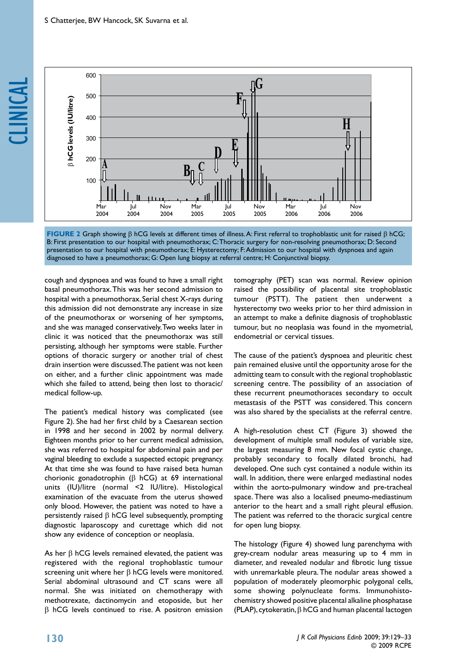



cough and dyspnoea and was found to have a small right basal pneumothorax. This was her second admission to hospital with a pneumothorax. Serial chest X-rays during this admission did not demonstrate any increase in size of the pneumothorax or worsening of her symptoms, and she was managed conservatively. Two weeks later in clinic it was noticed that the pneumothorax was still persisting, although her symptoms were stable. Further options of thoracic surgery or another trial of chest drain insertion were discussed. The patient was not keen on either, and a further clinic appointment was made which she failed to attend, being then lost to thoracic/ medical follow-up.

The patient's medical history was complicated (see Figure 2). She had her first child by a Caesarean section in 1998 and her second in 2002 by normal delivery. Eighteen months prior to her current medical admission, she was referred to hospital for abdominal pain and per vaginal bleeding to exclude a suspected ectopic pregnancy. At that time she was found to have raised beta human chorionic gonadotrophin  $(B \text{ hCG})$  at 69 international units (IU)/litre (normal <2 IU/litre). Histological examination of the evacuate from the uterus showed only blood. However, the patient was noted to have a persistently raised  $\beta$  hCG level subsequently, prompting diagnostic laparoscopy and curettage which did not show any evidence of conception or neoplasia.

As her  $\beta$  hCG levels remained elevated, the patient was registered with the regional trophoblastic tumour screening unit where her  $\beta$  hCG levels were monitored. Serial abdominal ultrasound and CT scans were all normal. She was initiated on chemotherapy with methotrexate, dactinomycin and etoposide, but her  $\beta$  hCG levels continued to rise. A positron emission

tomography (PET) scan was normal. Review opinion raised the possibility of placental site trophoblastic tumour (PSTT). The patient then underwent a hysterectomy two weeks prior to her third admission in an attempt to make a definite diagnosis of trophoblastic tumour, but no neoplasia was found in the myometrial, endometrial or cervical tissues.

The cause of the patient's dyspnoea and pleuritic chest pain remained elusive until the opportunity arose for the admitting team to consult with the regional trophoblastic screening centre. The possibility of an association of these recurrent pneumothoraces secondary to occult metastasis of the PSTT was considered. This concern was also shared by the specialists at the referral centre.

A high-resolution chest CT (Figure 3) showed the development of multiple small nodules of variable size, the largest measuring 8 mm. New focal cystic change, probably secondary to focally dilated bronchi, had developed. One such cyst contained a nodule within its wall. In addition, there were enlarged mediastinal nodes within the aorto-pulmonary window and pre-tracheal space. There was also a localised pneumo-mediastinum anterior to the heart and a small right pleural effusion. The patient was referred to the thoracic surgical centre for open lung biopsy.

The histology (Figure 4) showed lung parenchyma with grey-cream nodular areas measuring up to 4 mm in diameter, and revealed nodular and fibrotic lung tissue with unremarkable pleura. The nodular areas showed a population of moderately pleomorphic polygonal cells, some showing polynucleate forms. Immunohistochemistry showed positive placental alkaline phosphatase (PLAP), cytokeratin,  $\beta$  hCG and human placental lactogen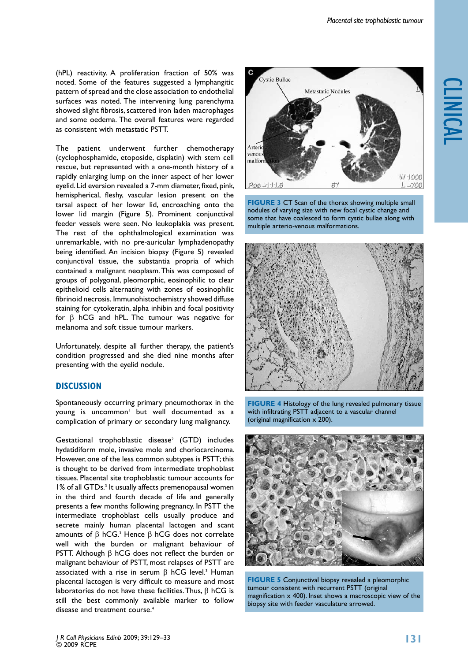(hPL) reactivity. A proliferation fraction of 50% was noted. Some of the features suggested a lymphangitic pattern of spread and the close association to endothelial surfaces was noted. The intervening lung parenchyma showed slight fibrosis, scattered iron laden macrophages and some oedema. The overall features were regarded as consistent with metastatic PSTT.

The patient underwent further chemotherapy (cyclophosphamide, etoposide, cisplatin) with stem cell rescue, but represented with a one-month history of a rapidly enlarging lump on the inner aspect of her lower eyelid. Lid eversion revealed a 7-mm diameter, fixed, pink, hemispherical, fleshy, vascular lesion present on the tarsal aspect of her lower lid, encroaching onto the lower lid margin (Figure 5). Prominent conjunctival feeder vessels were seen. No leukoplakia was present. The rest of the ophthalmological examination was unremarkable, with no pre-auricular lymphadenopathy being identified. An incision biopsy (Figure 5) revealed conjunctival tissue, the substantia propria of which contained a malignant neoplasm. This was composed of groups of polygonal, pleomorphic, eosinophilic to clear epithelioid cells alternating with zones of eosinophilic fibrinoid necrosis. Immunohistochemistry showed diffuse staining for cytokeratin, alpha inhibin and focal positivity for  $\beta$  hCG and hPL. The tumour was negative for melanoma and soft tissue tumour markers.

Unfortunately, despite all further therapy, the patient's condition progressed and she died nine months after presenting with the eyelid nodule.

# **Discussion**

Spontaneously occurring primary pneumothorax in the young is uncommon<sup>1</sup> but well documented as a complication of primary or secondary lung malignancy.

 $G$ estational trophoblastic disease<sup>2</sup> (GTD) includes hydatidiform mole, invasive mole and choriocarcinoma. However, one of the less common subtypes is PSTT; this is thought to be derived from intermediate trophoblast tissues. Placental site trophoblastic tumour accounts for 1% of all GTDs.<sup>3</sup> It usually affects premenopausal women in the third and fourth decade of life and generally presents a few months following pregnancy. In PSTT the intermediate trophoblast cells usually produce and secrete mainly human placental lactogen and scant amounts of  $\beta$  hCG.<sup>3</sup> Hence  $\beta$  hCG does not correlate well with the burden or malignant behaviour of PSTT. Although  $\beta$  hCG does not reflect the burden or malignant behaviour of PSTT, most relapses of PSTT are associated with a rise in serum  $\beta$  hCG level.<sup>3</sup> Human placental lactogen is very difficult to measure and most laboratories do not have these facilities. Thus,  $\beta$  hCG is still the best commonly available marker to follow disease and treatment course.<sup>4</sup>



**FIGURE 3 CT Scan of the thorax showing multiple small** nodules of varying size with new focal cystic change and some that have coalesced to form cystic bullae along with multiple arterio-venous malformations.



**FIGURE 4** Histology of the lung revealed pulmonary tissue with infiltrating PSTT adjacent to a vascular channel (original magnification x 200).



**FIGURE 5** Conjunctival biopsy revealed a pleomorphic tumour consistent with recurrent PSTT (original magnification x 400). Inset shows a macroscopic view of the biopsy site with feeder vasculature arrowed.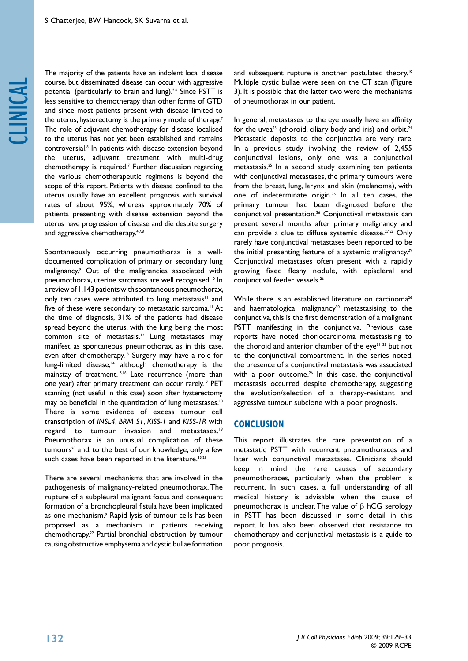# clinical

The majority of the patients have an indolent local disease course, but disseminated disease can occur with aggressive potential (particularly to brain and lung).<sup>5,6</sup> Since PSTT is less sensitive to chemotherapy than other forms of GTD and since most patients present with disease limited to the uterus, hysterectomy is the primary mode of therapy.<sup>7</sup> The role of adjuvant chemotherapy for disease localised to the uterus has not yet been established and remains controversial.8 In patients with disease extension beyond the uterus, adjuvant treatment with multi-drug chemotherapy is required.7 Further discussion regarding the various chemotherapeutic regimens is beyond the scope of this report. Patients with disease confined to the uterus usually have an excellent prognosis with survival rates of about 95%, whereas approximately 70% of patients presenting with disease extension beyond the uterus have progression of disease and die despite surgery and aggressive chemotherapy.4,7,8

Spontaneously occurring pneumothorax is a welldocumented complication of primary or secondary lung malignancy.9 Out of the malignancies associated with pneumothorax, uterine sarcomas are well recognised.10 In a review of 1,143 patients with spontaneous pneumothorax, only ten cases were attributed to lung metastasis<sup>11</sup> and five of these were secondary to metastatic sarcoma.<sup>11</sup> At the time of diagnosis, 31% of the patients had disease spread beyond the uterus, with the lung being the most common site of metastasis.12 Lung metastases may manifest as spontaneous pneumothorax, as in this case, even after chemotherapy.<sup>13</sup> Surgery may have a role for lung-limited disease,<sup>14</sup> although chemotherapy is the mainstay of treatment.<sup>15,16</sup> Late recurrence (more than one year) after primary treatment can occur rarely.17 PET scanning (not useful in this case) soon after hysterectomy may be beneficial in the quantitation of lung metastases.<sup>18</sup> There is some evidence of excess tumour cell transcription of *INSL4*, *BRM S1*, *KiSS-1* and *KiSS-1R* with regard to tumour invasion and metastases.<sup>19</sup> Pneumothorax is an unusual complication of these tumours<sup>20</sup> and, to the best of our knowledge, only a few such cases have been reported in the literature.<sup>13,21</sup>

There are several mechanisms that are involved in the pathogenesis of malignancy-related pneumothorax. The rupture of a subpleural malignant focus and consequent formation of a bronchopleural fistula have been implicated as one mechanism.9 Rapid lysis of tumour cells has been proposed as a mechanism in patients receiving chemotherapy.22 Partial bronchial obstruction by tumour causing obstructive emphysema and cystic bullae formation

and subsequent rupture is another postulated theory.<sup>10</sup> Multiple cystic bullae were seen on the CT scan (Figure 3). It is possible that the latter two were the mechanisms of pneumothorax in our patient.

In general, metastases to the eye usually have an affinity for the uvea<sup>23</sup> (choroid, ciliary body and iris) and orbit.<sup>24</sup> Metastatic deposits to the conjunctiva are very rare. In a previous study involving the review of 2,455 conjunctival lesions, only one was a conjunctival metastasis.25 In a second study examining ten patients with conjunctival metastases, the primary tumours were from the breast, lung, larynx and skin (melanoma), with one of indeterminate origin.<sup>26</sup> In all ten cases, the primary tumour had been diagnosed before the conjunctival presentation.26 Conjunctival metastasis can present several months after primary malignancy and can provide a clue to diffuse systemic disease.<sup>27,28</sup> Only rarely have conjunctival metastases been reported to be the initial presenting feature of a systemic malignancy.<sup>29</sup> Conjunctival metastases often present with a rapidly growing fixed fleshy nodule, with episcleral and conjunctival feeder vessels.26

While there is an established literature on carcinoma<sup>26</sup> and haematological malignancy<sup>30</sup> metastasising to the conjunctiva, this is the first demonstration of a malignant PSTT manifesting in the conjunctiva. Previous case reports have noted choriocarcinoma metastasising to the choroid and anterior chamber of the eye $31-33$  but not to the conjunctival compartment. In the series noted, the presence of a conjunctival metastasis was associated with a poor outcome.<sup>26</sup> In this case, the conjunctival metastasis occurred despite chemotherapy, suggesting the evolution/selection of a therapy-resistant and aggressive tumour subclone with a poor prognosis.

### **Conclusion**

This report illustrates the rare presentation of a metastatic PSTT with recurrent pneumothoraces and later with conjunctival metastases. Clinicians should keep in mind the rare causes of secondary pneumothoraces, particularly when the problem is recurrent. In such cases, a full understanding of all medical history is advisable when the cause of pneumothorax is unclear. The value of  $\beta$  hCG serology in PSTT has been discussed in some detail in this report. It has also been observed that resistance to chemotherapy and conjunctival metastasis is a guide to poor prognosis.